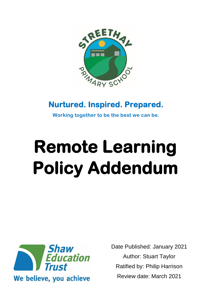

# **Nurtured. Inspired. Prepared.**

**Working together to be the best we can be.**

# **Remote Learning Policy Addendum**



Date Published: January 2021 Author: Stuart Taylor Ratified by: Philip Harrison Review date: March 2021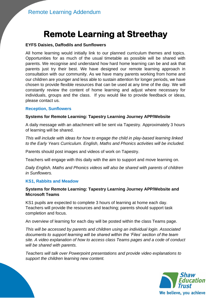# **Remote Learning at Streethay**

## **EYFS Daisies, Daffodils and Sunflowers**

All home learning would initially link to our planned curriculum themes and topics. Opportunities for as much of the usual timetable as possible will be shared with parents. We recognise and understand how hard home learning can be and ask that parents just try their best. We have designed our remote learning approach in consultation with our community. As we have many parents working from home and our children are younger and less able to sustain attention for longer periods, we have chosen to provide flexible resources that can be used at any time of the day. We will constantly review the content of home learning and adjust where necessary for individuals, groups and the class. If you would like to provide feedback or ideas, please contact us.

## **Reception, Sunflowers**

## **Systems for Remote Learning: Tapestry Learning Journey APP/Website**

A daily message with an attachment will be sent via Tapestry. Approximately 3 hours of learning will be shared.

*This will include with ideas for how to engage the child in play-based learning linked to the Early Years Curriculum. English, Maths and Phonics activities will be included.* 

Parents should post images and videos of work on Tapestry.

Teachers will engage with this daily with the aim to support and move learning on.

*Daily English, Maths and Phonics videos will also be shared with parents of children in Sunflowers.*

## **KS1, Rabbits and Meadow**

## **Systems for Remote Learning: Tapestry Learning Journey APP/Website and Microsoft Teams**

KS1 pupils are expected to complete 3 hours of learning at home each day. Teachers will provide the resources and teaching; parents should support task completion and focus.

An overview of learning for each day will be posted within the class Teams page.

*This will be accessed by parents and children using an individual login. Associated documents to support learning will be shared within the 'Files' section of the team site. A video explanation of how to access class Teams pages and a code of conduct will be shared with parents.* 

*Teachers will talk over Powerpoint presentations and provide video explanations to support the children learning new content.* 

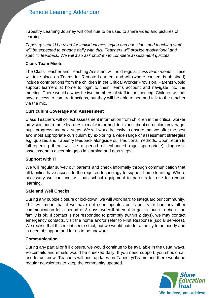## Remote Learning Addendum

Tapestry Learning Journey will continue to be used to share video and pictures of learning.

*Tapestry should be used for individual messaging and questions and teaching staff will be expected to engage daily with this. Teachers will provide motivational and specific feedback. We will also ask children to complete assessment quizzes.* 

## **Class Team Meets**

The Class Teacher and Teaching Assistant will hold regular *class team meets*. These will take place on Teams for Remote Learners and will (where consent is obtained) include contributions from the children in the Critical Worker Provision. Parents would support learners at home to login to their Teams account and navigate into the meeting. There would always be two members of staff in the meeting. Children will not have access to camera functions, but they will be able to see and talk to the teacher via the mic.

## **Curriculum Coverage and Assessment**

Class Teachers will collect assessment information from children in the critical worker provision and remote learners to make informed decisions about curriculum coverage, pupil progress and next steps. We will work tirelessly to ensure that we offer the best and most appropriate curriculum by exploring a wide range of assessment strategies e.g. quizzes and Tapestry feedback alongside our traditional methods. Upon return to full opening there will be a period of enhanced (age appropriate) diagnostic assessment to ascertain gaps in learning and next steps.

## **Support with IT**

We will regular survey our parents and check informally through communication that all families have access to the required technology to support home learning. Where necessary we can and will loan school equipment to parents for use for remote learning.

## **Safe and Well Checks**

During any bubble closure or lockdown, we will work hard to safeguard our community. This will mean that if we have not seen updates on Tapestry or had any other communication for a period of 3 days, we will attempt to get in touch to check the family is ok. If contact is not responded to promptly (within 2 days), we may contact emergency contacts, visit the home and/or refer to First Response (social services). We realise that this might seem strict, but we would hate for a family to be poorly and in need of support and for us to be unaware.

## **Communication**

During any partial or full closure, we would continue to be available in the usual ways. Voicemails and emails would be checked daily. If you need support, you should call and let us know. Teachers will post updates on Tapestry/Teams and there would be regular newsletters to keep the community updated.